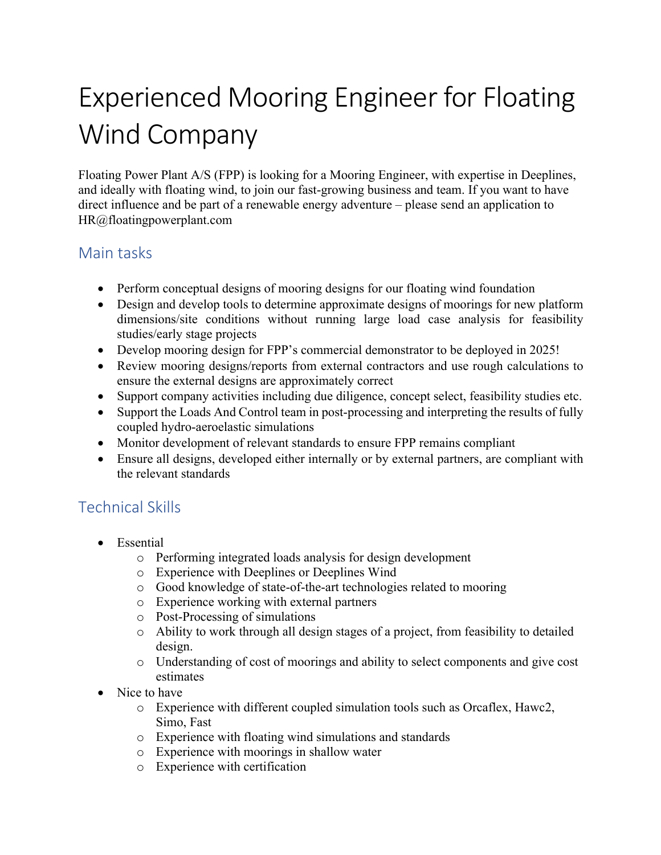# Experienced Mooring Engineer for Floating Wind Company

Floating Power Plant A/S (FPP) is looking for a Mooring Engineer, with expertise in Deeplines, and ideally with floating wind, to join our fast-growing business and team. If you want to have direct influence and be part of a renewable energy adventure – please send an application to HR@floatingpowerplant.com

#### Main tasks

- Perform conceptual designs of mooring designs for our floating wind foundation
- Design and develop tools to determine approximate designs of moorings for new platform dimensions/site conditions without running large load case analysis for feasibility studies/early stage projects
- Develop mooring design for FPP's commercial demonstrator to be deployed in 2025!
- Review mooring designs/reports from external contractors and use rough calculations to ensure the external designs are approximately correct
- Support company activities including due diligence, concept select, feasibility studies etc.
- Support the Loads And Control team in post-processing and interpreting the results of fully coupled hydro-aeroelastic simulations
- Monitor development of relevant standards to ensure FPP remains compliant
- Ensure all designs, developed either internally or by external partners, are compliant with the relevant standards

## Technical Skills

- Essential
	- o Performing integrated loads analysis for design development
	- o Experience with Deeplines or Deeplines Wind
	- o Good knowledge of state-of-the-art technologies related to mooring
	- o Experience working with external partners
	- o Post-Processing of simulations
	- o Ability to work through all design stages of a project, from feasibility to detailed design.
	- o Understanding of cost of moorings and ability to select components and give cost estimates
- Nice to have
	- o Experience with different coupled simulation tools such as Orcaflex, Hawc2, Simo, Fast
	- o Experience with floating wind simulations and standards
	- o Experience with moorings in shallow water
	- o Experience with certification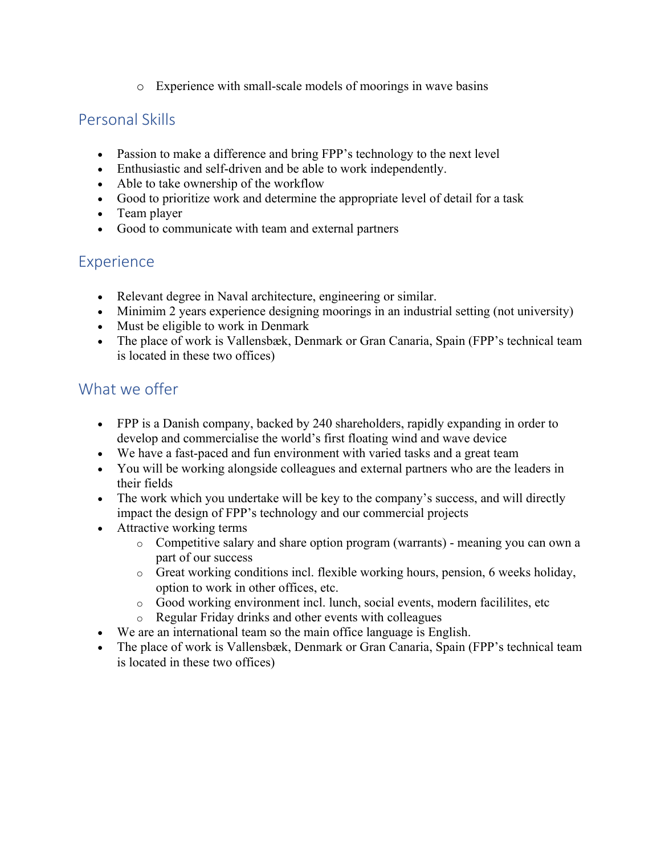o Experience with small-scale models of moorings in wave basins

#### Personal Skills

- Passion to make a difference and bring FPP's technology to the next level
- Enthusiastic and self-driven and be able to work independently.
- Able to take ownership of the workflow
- Good to prioritize work and determine the appropriate level of detail for a task
- Team player
- Good to communicate with team and external partners

### **Experience**

- Relevant degree in Naval architecture, engineering or similar.
- Minimim 2 years experience designing moorings in an industrial setting (not university)
- Must be eligible to work in Denmark
- The place of work is Vallensbæk, Denmark or Gran Canaria, Spain (FPP's technical team is located in these two offices)

#### What we offer

- FPP is a Danish company, backed by 240 shareholders, rapidly expanding in order to develop and commercialise the world's first floating wind and wave device
- We have a fast-paced and fun environment with varied tasks and a great team
- You will be working alongside colleagues and external partners who are the leaders in their fields
- The work which you undertake will be key to the company's success, and will directly impact the design of FPP's technology and our commercial projects
- Attractive working terms
	- o Competitive salary and share option program (warrants) meaning you can own a part of our success
	- o Great working conditions incl. flexible working hours, pension, 6 weeks holiday, option to work in other offices, etc.
	- o Good working environment incl. lunch, social events, modern facililites, etc
	- o Regular Friday drinks and other events with colleagues
- We are an international team so the main office language is English.
- The place of work is Vallensbæk, Denmark or Gran Canaria, Spain (FPP's technical team is located in these two offices)